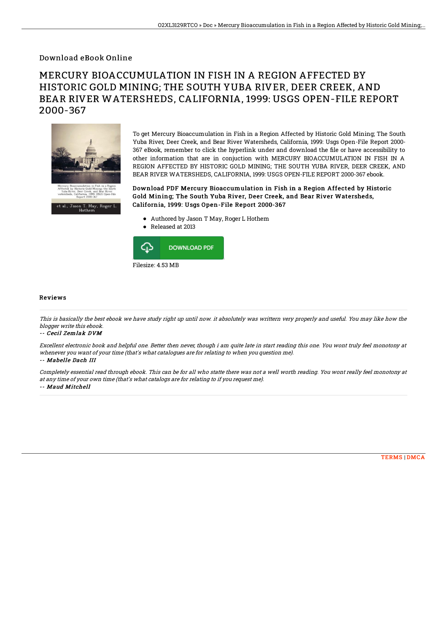## Download eBook Online

# MERCURY BIOACCUMULATION IN FISH IN A REGION AFFECTED BY HISTORIC GOLD MINING; THE SOUTH YUBA RIVER, DEER CREEK, AND BEAR RIVER WATERSHEDS, CALIFORNIA, 1999: USGS OPEN-FILE REPORT 2000-367



To get Mercury Bioaccumulation in Fish in a Region Affected by Historic Gold Mining; The South Yuba River, Deer Creek, and Bear River Watersheds, California, 1999: Usgs Open-File Report 2000- 367 eBook, remember to click the hyperlink under and download the 6le or have accessibility to other information that are in conjuction with MERCURY BIOACCUMULATION IN FISH IN A REGION AFFECTED BY HISTORIC GOLD MINING; THE SOUTH YUBA RIVER, DEER CREEK, AND BEAR RIVER WATERSHEDS, CALIFORNIA, 1999: USGS OPEN-FILE REPORT 2000-367 ebook.

Download PDF Mercury Bioaccumulation in Fish in a Region Affected by Historic Gold Mining; The South Yuba River, Deer Creek, and Bear River Watersheds, California, 1999: Usgs Open-File Report 2000-367

- Authored by Jason T May, Roger L Hothem
- Released at 2013



### Reviews

This is basically the best ebook we have study right up until now. it absolutely was writtern very properly and useful. You may like how the blogger write this ebook.

#### -- Cecil Zemlak DVM

Excellent electronic book and helpful one. Better then never, though i am quite late in start reading this one. You wont truly feel monotony at whenever you want of your time (that's what catalogues are for relating to when you question me). -- Mabelle Dach III

Completely essential read through ebook. This can be for all who statte there was not <sup>a</sup> well worth reading. You wont really feel monotony at at any time of your own time (that's what catalogs are for relating to if you request me).

### -- Maud Mitchell